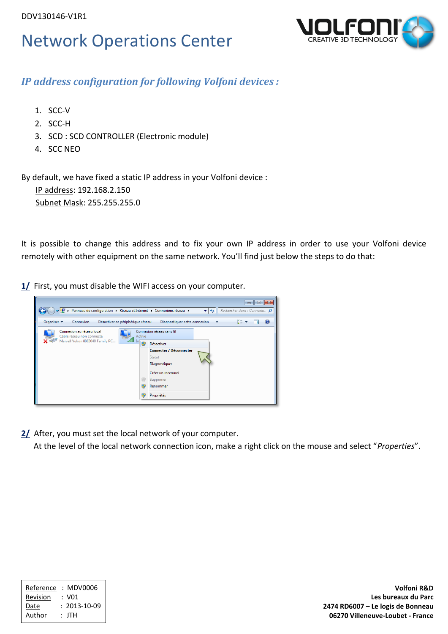

*IP address configuration for following Volfoni devices :*

- 1. SCC-V
- 2. SCC-H
- 3. SCD : SCD CONTROLLER (Electronic module)
- 4. SCC NEO

By default, we have fixed a static IP address in your Volfoni device :

 IP address: 192.168.2.150 Subnet Mask: 255.255.255.0

It is possible to change this address and to fix your own IP address in order to use your Volfoni device remotely with other equipment on the same network. You'll find just below the steps to do that:

**1/** First, you must disable the WIFI access on your computer.



**2/** After, you must set the local network of your computer.

At the level of the local network connection icon, make a right click on the mouse and select "*Properties*".

| Reference     | : MDV0006          |
|---------------|--------------------|
| Revision      | : VO1              |
| Date          | $: 2013 - 10 - 09$ |
| <b>Author</b> | : JTH              |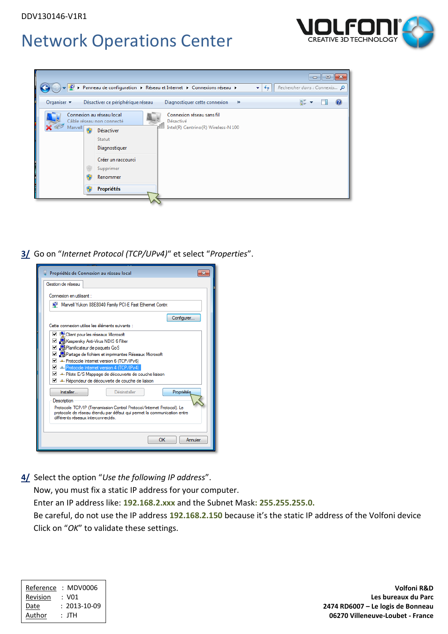



**3/** Go on "*Internet Protocol (TCP/UPv4)*" et select "*Properties*".



**4/** Select the option "*Use the following IP address*".

Now, you must fix a static IP address for your computer.

Enter an IP address like: **192.168.2.xxx** and the Subnet Mask**: 255.255.255.0.**

 Be careful, do not use the IP address **192.168.2.150** because it's the static IP address of the Volfoni device Click on "*OK*" to validate these settings.

| Reference | : MDV0006          |
|-----------|--------------------|
| Revision  | : VO1              |
| Date      | $: 2013 - 10 - 09$ |
| Author    | : JTH              |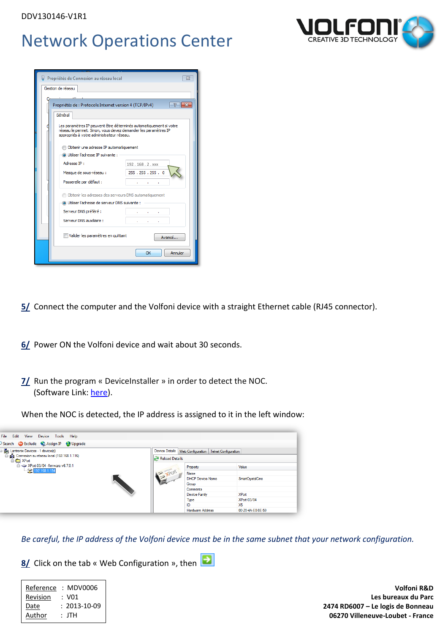

| Gestion de réseau                                                                                                                                                                 |  |
|-----------------------------------------------------------------------------------------------------------------------------------------------------------------------------------|--|
|                                                                                                                                                                                   |  |
|                                                                                                                                                                                   |  |
| $\mathbb{R}$<br>$-x$<br>Propriétés de : Protocole Internet version 4 (TCP/IPv4)                                                                                                   |  |
| Général                                                                                                                                                                           |  |
| Les paramètres IP peuvent être déterminés automatiquement si votre<br>réseau le permet. Sinon, vous devez demander les paramètres IP<br>appropriés à votre administrateur réseau. |  |
| Obtenir une adresse IP automatiquement                                                                                                                                            |  |
| O Utiliser l'adresse IP suivante :                                                                                                                                                |  |
| Adresse TP:<br>192.168.2. xxx                                                                                                                                                     |  |
| 255.255.255.0<br>Masque de sous-réseau :                                                                                                                                          |  |
| Passerelle par défaut :<br>contract to the contract                                                                                                                               |  |
| <b>Obtenir les adresses des serveurs DNS automatiquement</b>                                                                                                                      |  |
| 1 Utiliser l'adresse de serveur DNS suivante :                                                                                                                                    |  |
| Serveur DNS préféré :<br><b>Contract Contract</b>                                                                                                                                 |  |
| Serveur DNS auxiliaire :<br>and the control of                                                                                                                                    |  |
| Valider les paramètres en quittant<br>Avancé                                                                                                                                      |  |
| Annuler<br>OK                                                                                                                                                                     |  |

**5/** Connect the computer and the Volfoni device with a straight Ethernet cable (RJ45 connector).

- **6/** Power ON the Volfoni device and wait about 30 seconds.
- *II* Run the program « DeviceInstaller » in order to detect the NOC. (Software Link: [here\)](ftp://ftp.lantronix.com/pub/DeviceInstaller/Lantronix/4.4/4.4.0.0/Installers/Download_Web/setup.exe).

When the NOC is detected, the IP address is assigned to it in the left window:



*Be careful, the IP address of the Volfoni device must be in the same subnet that your network configuration.* 

**8/** Click on the tab « Web Configuration », then

| : MDV0006          |
|--------------------|
| : VN1              |
| $: 2013 - 10 - 09$ |
| : JTH              |
|                    |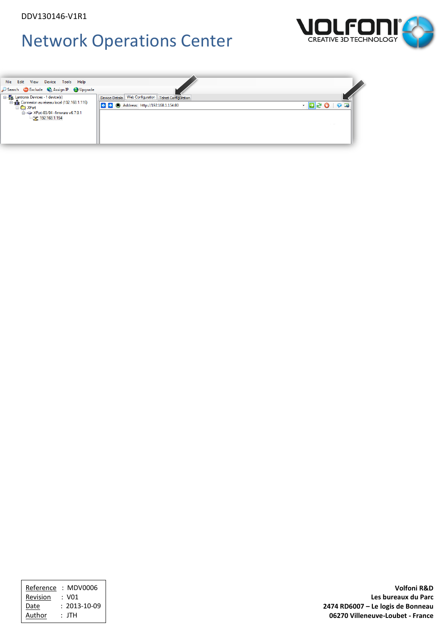



| : MDV0006          |
|--------------------|
| : VO1              |
| $: 2013 - 10 - 09$ |
| : JTH              |
|                    |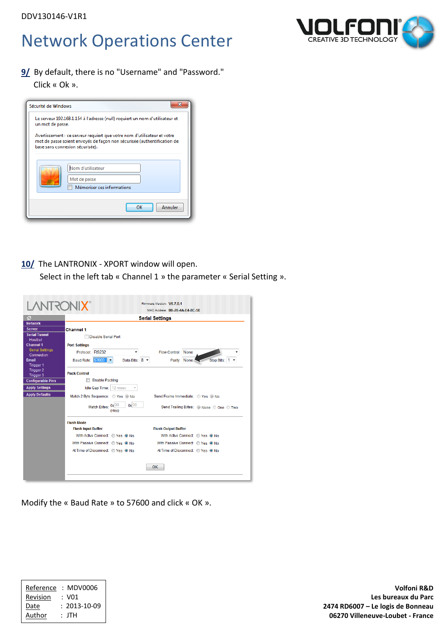**9/** By default, there is no "Username" and "Password."

Click « Ok ».

| Sécurité de Windows |                                                                                                                                                                                        |
|---------------------|----------------------------------------------------------------------------------------------------------------------------------------------------------------------------------------|
| un mot de passe.    | Le serveur 192.168.1.154 à l'adresse (null) requiert un nom d'utilisateur et                                                                                                           |
|                     | Avertissement : ce serveur requiert que votre nom d'utilisateur et votre<br>mot de passe soient envoyés de façon non sécurisée (authentification de<br>base sans connexion sécurisée). |
|                     | Nom d'utilisateur<br>Mot de passe<br>Mémoriser ces informations                                                                                                                        |
|                     | OK<br>Annuler                                                                                                                                                                          |

### **10/** The LANTRONIX - XPORT window will open.

Select in the left tab « Channel 1 » the parameter « Serial Setting ».

|                                                                                                                                                              | <b>XIVOSTIAN</b>                                                                                                                                           | MAC Address: 00-20-4A-E4-8C-5E                                                                                                             |
|--------------------------------------------------------------------------------------------------------------------------------------------------------------|------------------------------------------------------------------------------------------------------------------------------------------------------------|--------------------------------------------------------------------------------------------------------------------------------------------|
| 益                                                                                                                                                            |                                                                                                                                                            | <b>Serial Settings</b>                                                                                                                     |
| <b>Network</b><br><b>Server</b><br><b>Serial Tunnel</b><br><b>Hostlist</b><br><b>Channel 1</b><br><b>Serial Settings</b><br>Connection<br>Email<br>Trigger 1 | <b>Channel 1</b><br><b>Disable Serial Port</b><br><b>Port Settings</b><br>Protocol: RS232<br>۰<br><b>Baud Rate: 57600</b><br>Data Bits: 8 -<br>⊩≂          | <b>Flow Control: None</b><br>Stop Bits: 1<br>Parity: None                                                                                  |
| <b>Trigger 2</b><br>Trigger 3<br><b>Configurable Pins</b><br><b>Apply Settings</b>                                                                           | <b>Pack Control</b><br><b>Enable Packing</b><br>Idle Gap Time:   12 msec                                                                                   |                                                                                                                                            |
| <b>Apply Defaults</b>                                                                                                                                        | Match 2 Byte Sequence: Yes ONo<br>$0x$ 00<br>Match Bytes: 0x 00<br>(Hex)                                                                                   | Send Frame Immediate: Yes ONo<br>Send Trailing Bytes: O None O One O Two                                                                   |
|                                                                                                                                                              | <b>Flush Mode</b><br><b>Flush Input Buffer</b><br>With Active Connect: C Yes O No<br>With Passive Connect: C Yes O No<br>At Time of Disconnect: 2 Yes O No | <b>Flush Output Buffer</b><br>With Active Connect: Yes O No<br>With Passive Connect: C Yes O No<br>At Time of Disconnect: 2 Yes @ No<br>OK |

Modify the « Baud Rate » to 57600 and click « OK ».

| Reference | MDV0006            |
|-----------|--------------------|
| Revision  | : VO1              |
| Date      | $: 2013 - 10 - 09$ |
| Author    | : JTH              |



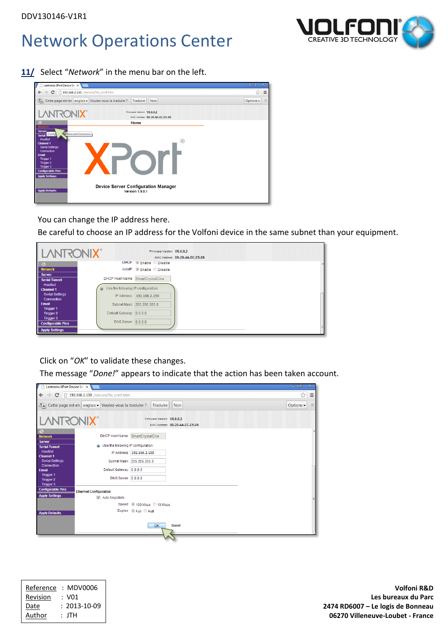**11/** Select "*Network*" in the menu bar on the left.



You can change the IP address here.

Be careful to choose an IP address for the Volfoni device in the same subnet than your equipment.



Click on "*OK*" to validate these changes.

The message "*Done!*" appears to indicate that the action has been taken account.

| Lantronix XPort Device Ser X                             |                                                                                       |                                                              | $-10$<br>x            |
|----------------------------------------------------------|---------------------------------------------------------------------------------------|--------------------------------------------------------------|-----------------------|
| G.<br>$\Rightarrow$<br>←                                 | 192.168.2.150 /secure/ltx_conf.htm                                                    |                                                              | ☆<br>$\equiv$         |
|                                                          | $\mathbb{E}_{\mathsf{A}}$ Cette page est en anglais $\star$ Voulez-vous la traduire ? | Traduire<br><b>Non</b>                                       | Options -<br>$\times$ |
| <b>LANTRONIX®</b>                                        |                                                                                       | Firmware Version: V6.8.0.2<br>MAC Address: 00-20-4A-EC-E5-06 |                       |
| 슶<br><b>Network</b>                                      | <b>DHCP Host Name: SmartCrystalCine</b>                                               |                                                              |                       |
| <b>Server</b><br><b>Serial Tunnel</b><br><b>Hostlist</b> | Use the following IP configuration:<br>$\circledcirc$                                 |                                                              |                       |
| <b>Channel 1</b><br><b>Serial Settings</b>               |                                                                                       | IP Address: 192.168.2.150<br>Subnet Mask: 255.255.255.0      |                       |
| Connection<br><b>Email</b>                               | Default Gateway: 0.0.0.0                                                              |                                                              |                       |
| <b>Trigger 1</b><br><b>Trigger 2</b><br><b>Trigger 3</b> | DNS Server: 0.0.0.0                                                                   |                                                              |                       |
| <b>Configurable Pins</b>                                 | <b>Ethernet Configuration</b>                                                         |                                                              |                       |
| <b>Apply Settings</b>                                    | Auto Negotiate                                                                        |                                                              |                       |
|                                                          |                                                                                       | Speed: @ 100 Mbps @ 10 Mbps                                  |                       |
| <b>Apply Defaults</b>                                    |                                                                                       | Duplex: © Full © Half                                        |                       |
|                                                          |                                                                                       | OK<br>Done!                                                  |                       |

| Reference | : MDV0006          |
|-----------|--------------------|
| Revision  | : VN1              |
| Date      | $: 2013 - 10 - 09$ |
| Author    | : JTH              |



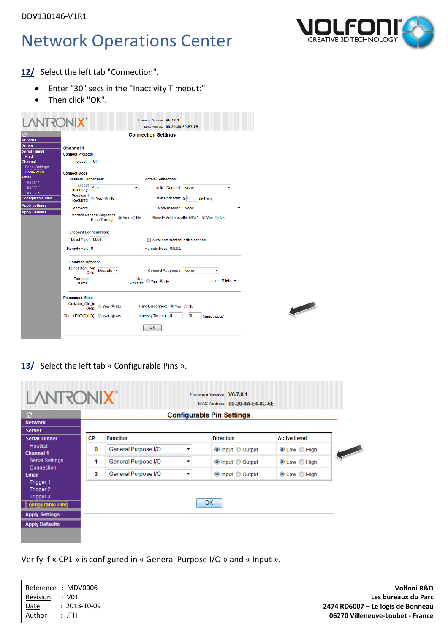

12/ Select the left tab "Connection".

- Enter "30" secs in the "Inactivity Timeout:"
- Then click "OK".

| ൷                                                                                                                                                                                                                                                                    | <b>Connection Settings</b>                                                                                                                                                                                                                                                                                                                                                                                                                 |  |
|----------------------------------------------------------------------------------------------------------------------------------------------------------------------------------------------------------------------------------------------------------------------|--------------------------------------------------------------------------------------------------------------------------------------------------------------------------------------------------------------------------------------------------------------------------------------------------------------------------------------------------------------------------------------------------------------------------------------------|--|
| <b>Network</b><br>Server<br><b>Serial Tunnel</b><br><b>Hostlist</b><br><b>Channel 1</b><br><b>Serial Settings</b><br>Connection<br><b>Email</b><br>Trigger 1<br>Trigger 2<br>Trigger 3<br><b>Configurable Pins</b><br><b>Apply Settings</b><br><b>Apply Defaults</b> | <b>Channel 1</b><br><b>Connect Protocol</b><br>Protocol: TCP -<br><b>Connect Mode</b><br><b>Passive Connection:</b><br><b>Active Connection:</b><br>$Accept \overline{Yes}$<br>Active Connect: None<br>۰<br>Incomina:<br>Password<br>⊙ Yes ⊙ No<br>Start Character: 0x 0D<br>(in Hex)<br>Required:<br>Modem Mode: None<br>Password:<br>٠<br>Modem Escape Sequence<br>O Yes O No<br>Show IP Address After RING: O Yes O No<br>Pass Through: |  |
|                                                                                                                                                                                                                                                                      | <b>Endpoint Configuration:</b><br>Local Port 10001<br>Auto increment for active connect<br>Remote Port 0<br>Remote Host: 0.0.0.0                                                                                                                                                                                                                                                                                                           |  |
|                                                                                                                                                                                                                                                                      | <b>Common Options:</b><br>Telnet Com Port Disable<br><b>Connect Response: None</b><br>۰<br>Terminal<br>Use<br>LED: Blink v<br>© Yes <sup>⊙</sup> No<br><b>Hostlist:</b><br>Name:                                                                                                                                                                                                                                                           |  |
|                                                                                                                                                                                                                                                                      | <b>Disconnect Mode</b><br>On Mdm_Ctrl_In<br>Dram © Yes © No<br>Hard Disconnect: O Yes C No<br>Inactivity Timeout: 0<br>Check EOT(Ctrl-D): Yes ONo<br>$\cdot$ 30<br>(mins : secs)<br>OK                                                                                                                                                                                                                                                     |  |

13/ Select the left tab « Configurable Pins ».

| <b>Network</b>                                                  |                          | <b>Configurable Pin Settings</b> |                     |
|-----------------------------------------------------------------|--------------------------|----------------------------------|---------------------|
| Server<br><b>CP</b><br><b>Function</b><br><b>Serial Tunnel</b>  |                          | <b>Direction</b>                 | <b>Active Level</b> |
| <b>Hostlist</b><br>0<br><b>Channel 1</b>                        | General Purpose I/O<br>▼ | ◎ Input © Output                 | <b>O</b> Low C High |
| <b>Serial Settings</b><br>1                                     | General Purpose I/O<br>▼ | O Input © Output                 | <b>O</b> Low C High |
| Connection<br>2                                                 | General Purpose I/O<br>▼ | O Input © Output                 | <b>O</b> Low C High |
| Trigger 1<br>Trigger 2<br>Trigger 3<br><b>Configurable Pins</b> |                          | <b>OK</b>                        |                     |

Verify if « CP1 » is configured in « General Purpose I/O » and « Input ».

| Reference | : MDV0006          |
|-----------|--------------------|
| Revision  | : VN1              |
| Date      | $: 2013 - 10 - 09$ |
| Author    | : JTH              |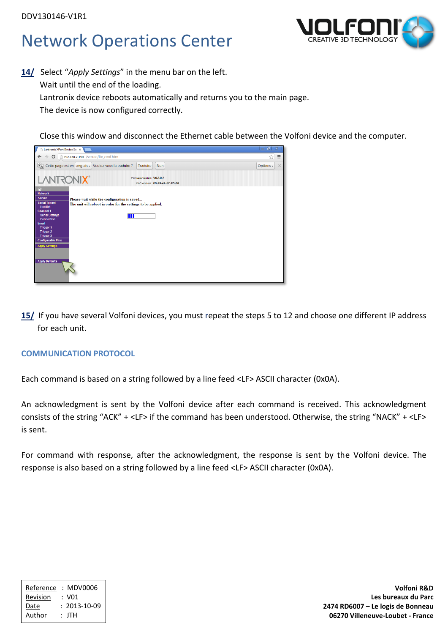

**14/** Select "*Apply Settings*" in the menu bar on the left. Wait until the end of the loading. Lantronix device reboots automatically and returns you to the main page. The device is now configured correctly.

Close this window and disconnect the Ethernet cable between the Volfoni device and the computer.

| Lantronix XPort Device Ser                                                                                                                                                                                                                                                       |                                                                                                                    | $= 0$ $\infty$        |  |  |
|----------------------------------------------------------------------------------------------------------------------------------------------------------------------------------------------------------------------------------------------------------------------------------|--------------------------------------------------------------------------------------------------------------------|-----------------------|--|--|
| $\leftarrow$                                                                                                                                                                                                                                                                     | $\Rightarrow$ $\mathbf{C}$   192.168.2.150 /secure/ltx_conf.htm                                                    | ☆<br>$\equiv$         |  |  |
|                                                                                                                                                                                                                                                                                  | $\mathbb{E}_{\mathsf{A}}$ Cette page est en anglais $\bullet$ Voulez-vous la traduire ?<br>Traduire<br><b>Non</b>  | $\times$<br>Options - |  |  |
| <b>LANTRONIX®</b><br>Firmware Version: V6.8.0.2<br>MAC Address: 00-20-4A-EC-E5-06                                                                                                                                                                                                |                                                                                                                    |                       |  |  |
| 备<br><b>Network</b><br><b>Server</b><br><b>Serial Tunnel</b><br><b>Hostlist</b><br><b>Channel 1</b><br><b>Serial Settings</b><br>Connection<br><b>Email</b><br>Trigger 1<br>Trigger 2<br>Trigger 3<br><b>Configurable Pins</b><br><b>Apply Settings</b><br><b>Apply Defaults</b> | Please wait while the configuration is saved<br>The unit will reboot in order for the settings to be applied.<br>Ш |                       |  |  |

**15/** If you have several Volfoni devices, you must repeat the steps 5 to 12 and choose one different IP address for each unit.

### **COMMUNICATION PROTOCOL**

Each command is based on a string followed by a line feed <LF> ASCII character (0x0A).

An acknowledgment is sent by the Volfoni device after each command is received. This acknowledgment consists of the string "ACK" + <LF> if the command has been understood. Otherwise, the string "NACK" + <LF> is sent.

For command with response, after the acknowledgment, the response is sent by the Volfoni device. The response is also based on a string followed by a line feed <LF> ASCII character (0x0A).

| Reference | : MDV0006          |
|-----------|--------------------|
| Revision  | : VO1              |
| Date      | $: 2013 - 10 - 09$ |
| Author    | : JTH              |